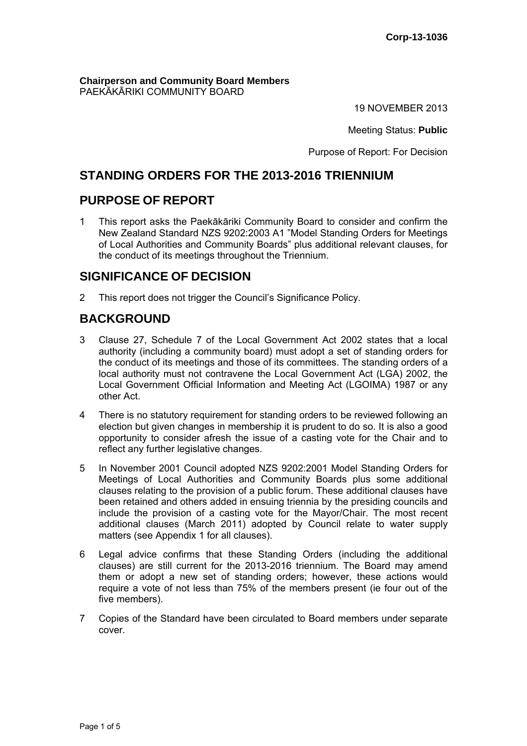**Chairperson and Community Board Members** PAEKĀKĀRIKI COMMUNITY BOARD

19 NOVEMBER 2013

Meeting Status: **Public**

Purpose of Report: For Decision

## **STANDING ORDERS FOR THE 2013-2016 TRIENNIUM**

## **PURPOSE OF REPORT**

1 This report asks the Paekākāriki Community Board to consider and confirm the New Zealand Standard NZS 9202:2003 A1 "Model Standing Orders for Meetings of Local Authorities and Community Boards" plus additional relevant clauses, for the conduct of its meetings throughout the Triennium.

## **SIGNIFICANCE OF DECISION**

2 This report does not trigger the Council's Significance Policy.

# **BACKGROUND**

- 3 Clause 27, Schedule 7 of the Local Government Act 2002 states that a local authority (including a community board) must adopt a set of standing orders for the conduct of its meetings and those of its committees. The standing orders of a local authority must not contravene the Local Government Act (LGA) 2002, the Local Government Official Information and Meeting Act (LGOIMA) 1987 or any other Act.
- 4 There is no statutory requirement for standing orders to be reviewed following an election but given changes in membership it is prudent to do so. It is also a good opportunity to consider afresh the issue of a casting vote for the Chair and to reflect any further legislative changes.
- 5 In November 2001 Council adopted NZS 9202:2001 Model Standing Orders for Meetings of Local Authorities and Community Boards plus some additional clauses relating to the provision of a public forum. These additional clauses have been retained and others added in ensuing triennia by the presiding councils and include the provision of a casting vote for the Mayor/Chair. The most recent additional clauses (March 2011) adopted by Council relate to water supply matters (see Appendix 1 for all clauses).
- 6 Legal advice confirms that these Standing Orders (including the additional clauses) are still current for the 2013-2016 triennium. The Board may amend them or adopt a new set of standing orders; however, these actions would require a vote of not less than 75% of the members present (ie four out of the five members).
- 7 Copies of the Standard have been circulated to Board members under separate cover.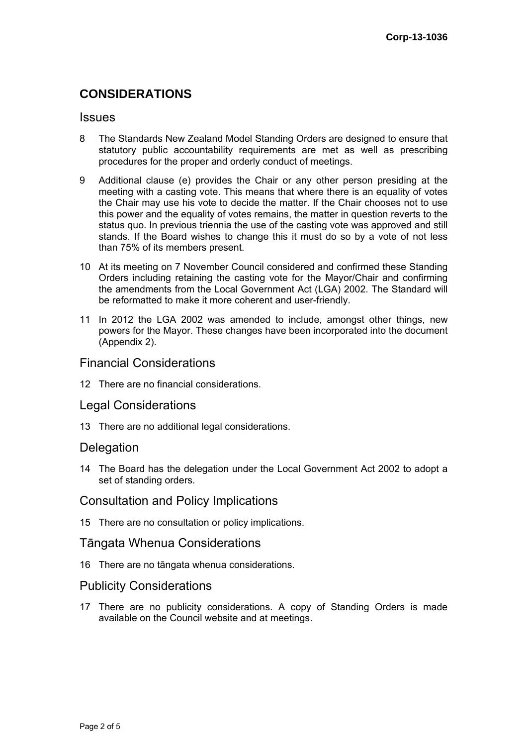## **CONSIDERATIONS**

#### **Issues**

- 8 The Standards New Zealand Model Standing Orders are designed to ensure that statutory public accountability requirements are met as well as prescribing procedures for the proper and orderly conduct of meetings.
- 9 Additional clause (e) provides the Chair or any other person presiding at the meeting with a casting vote. This means that where there is an equality of votes the Chair may use his vote to decide the matter. If the Chair chooses not to use this power and the equality of votes remains, the matter in question reverts to the status quo. In previous triennia the use of the casting vote was approved and still stands. If the Board wishes to change this it must do so by a vote of not less than 75% of its members present.
- 10 At its meeting on 7 November Council considered and confirmed these Standing Orders including retaining the casting vote for the Mayor/Chair and confirming the amendments from the Local Government Act (LGA) 2002. The Standard will be reformatted to make it more coherent and user-friendly.
- 11 In 2012 the LGA 2002 was amended to include, amongst other things, new powers for the Mayor. These changes have been incorporated into the document (Appendix 2).

### Financial Considerations

12 There are no financial considerations.

### Legal Considerations

13 There are no additional legal considerations.

### **Delegation**

14 The Board has the delegation under the Local Government Act 2002 to adopt a set of standing orders.

### Consultation and Policy Implications

15 There are no consultation or policy implications.

#### Tāngata Whenua Considerations

16 There are no tāngata whenua considerations.

#### Publicity Considerations

17 There are no publicity considerations. A copy of Standing Orders is made available on the Council website and at meetings.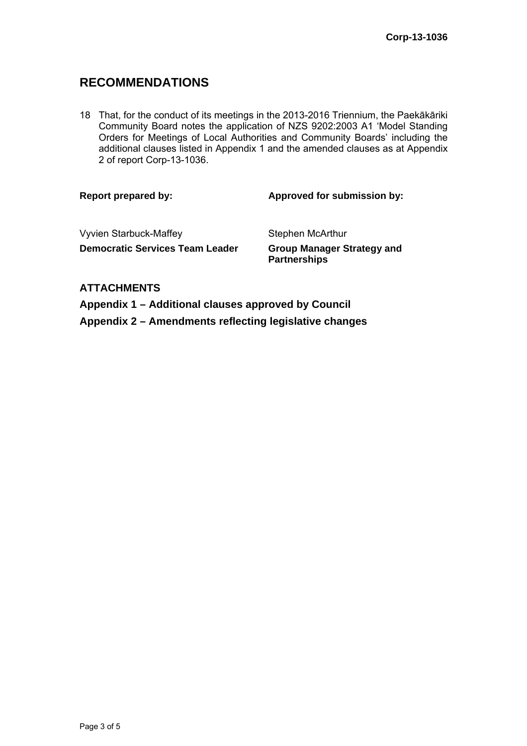## **RECOMMENDATIONS**

18 That, for the conduct of its meetings in the 2013-2016 Triennium, the Paekākāriki Community Board notes the application of NZS 9202:2003 A1 'Model Standing Orders for Meetings of Local Authorities and Community Boards' including the additional clauses listed in Appendix 1 and the amended clauses as at Appendix 2 of report Corp-13-1036.

#### Report prepared by: **Approved for submission by:**  $\blacksquare$

Vyvien Starbuck-Maffey Stephen McArthur **Democratic Services Team Leader Group Manager Strategy and** 

**Partnerships** 

### **ATTACHMENTS**

**Appendix 1 – Additional clauses approved by Council Appendix 2 – Amendments reflecting legislative changes**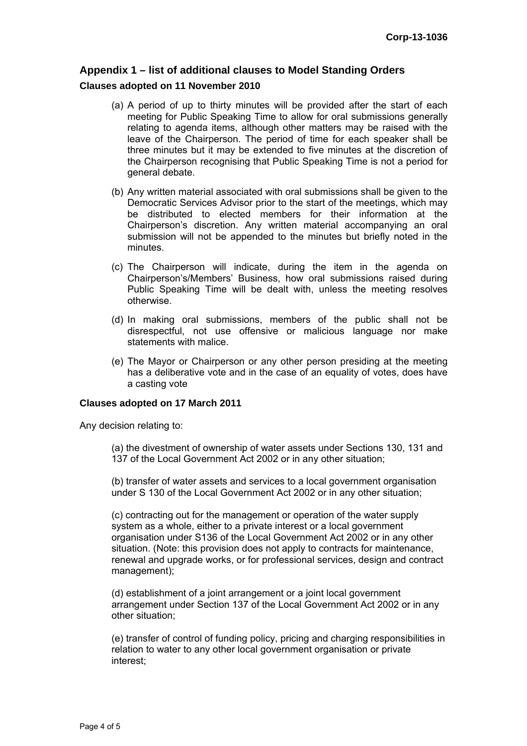### **Appendix 1 – list of additional clauses to Model Standing Orders**

#### **Clauses adopted on 11 November 2010**

- (a) A period of up to thirty minutes will be provided after the start of each meeting for Public Speaking Time to allow for oral submissions generally relating to agenda items, although other matters may be raised with the leave of the Chairperson. The period of time for each speaker shall be three minutes but it may be extended to five minutes at the discretion of the Chairperson recognising that Public Speaking Time is not a period for general debate.
- (b) Any written material associated with oral submissions shall be given to the Democratic Services Advisor prior to the start of the meetings, which may be distributed to elected members for their information at the Chairperson's discretion. Any written material accompanying an oral submission will not be appended to the minutes but briefly noted in the minutes.
- (c) The Chairperson will indicate, during the item in the agenda on Chairperson's/Members' Business, how oral submissions raised during Public Speaking Time will be dealt with, unless the meeting resolves otherwise.
- (d) In making oral submissions, members of the public shall not be disrespectful, not use offensive or malicious language nor make statements with malice.
- (e) The Mayor or Chairperson or any other person presiding at the meeting has a deliberative vote and in the case of an equality of votes, does have a casting vote

#### **Clauses adopted on 17 March 2011**

Any decision relating to:

(a) the divestment of ownership of water assets under Sections 130, 131 and 137 of the Local Government Act 2002 or in any other situation;

(b) transfer of water assets and services to a local government organisation under S 130 of the Local Government Act 2002 or in any other situation;

(c) contracting out for the management or operation of the water supply system as a whole, either to a private interest or a local government organisation under S136 of the Local Government Act 2002 or in any other situation. (Note: this provision does not apply to contracts for maintenance, renewal and upgrade works, or for professional services, design and contract management);

(d) establishment of a joint arrangement or a joint local government arrangement under Section 137 of the Local Government Act 2002 or in any other situation;

(e) transfer of control of funding policy, pricing and charging responsibilities in relation to water to any other local government organisation or private interest;